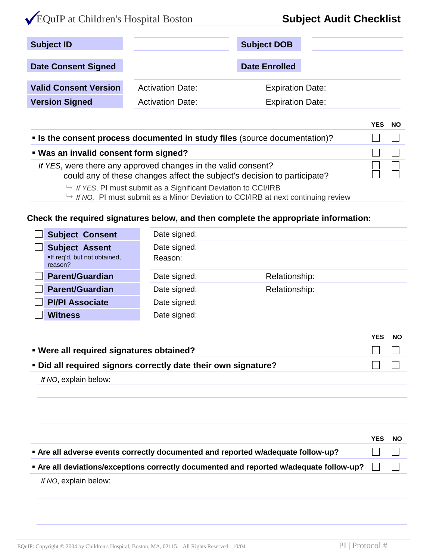# EQuIP at Children's Hospital Boston **Subject Audit Checklist**

| <b>Subject ID</b>            |                         | <b>Subject DOB</b>      |  |
|------------------------------|-------------------------|-------------------------|--|
| <b>Date Consent Signed</b>   |                         | <b>Date Enrolled</b>    |  |
| <b>Valid Consent Version</b> | <b>Activation Date:</b> | <b>Expiration Date:</b> |  |
| <b>Version Signed</b>        | <b>Activation Date:</b> | <b>Expiration Date:</b> |  |

|                                                                                                                                           | VEC. | <b>NO</b> |
|-------------------------------------------------------------------------------------------------------------------------------------------|------|-----------|
| • Is the consent process documented in study files (source documentation)?                                                                |      |           |
| . Was an invalid consent form signed?                                                                                                     |      |           |
| If YES, were there any approved changes in the valid consent?<br>could any of these changes affect the subject's decision to participate? |      |           |
|                                                                                                                                           |      |           |

- *If YES*, PI must submit as a Significant Deviation to CCI/IRB
- *If NO,* PI must submit as a Minor Deviation to CCI/IRB at next continuing review

#### **Check the required signatures below, and then complete the appropriate information:**

| <b>Subject Consent</b>                                           | Date signed:            |               |
|------------------------------------------------------------------|-------------------------|---------------|
| <b>Subject Assent</b><br>.If req'd, but not obtained,<br>reason? | Date signed:<br>Reason: |               |
| <b>Parent/Guardian</b>                                           | Date signed:            | Relationship: |
| <b>Parent/Guardian</b>                                           | Date signed:            | Relationship: |
| <b>PI/PI Associate</b>                                           | Date signed:            |               |
| <b>Witness</b>                                                   | Date signed:            |               |

|                                                                | YES                                    | NO. |
|----------------------------------------------------------------|----------------------------------------|-----|
| • Were all required signatures obtained?                       | $\mathbf{1}$ $\mathbf{1}$ $\mathbf{1}$ |     |
| . Did all required signors correctly date their own signature? |                                        |     |

*If NO*, explain below:

|                                                                                         | <b>YES</b>               | - NO  |
|-----------------------------------------------------------------------------------------|--------------------------|-------|
| • Are all adverse events correctly documented and reported w/adequate follow-up?        | 111                      |       |
| • Are all deviations/exceptions correctly documented and reported w/adequate follow-up? | $\sim$ 1 $\sim$ 1 $\sim$ | $\pm$ |
| If NO, explain below:                                                                   |                          |       |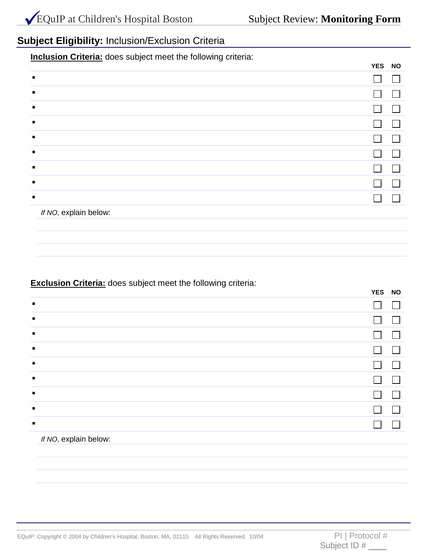**YES NO**

## **Subject Eligibility:** Inclusion/Exclusion Criteria

**Inclusion Criteria:** does subject meet the following criteria:

|                |                       | ILO NU |  |
|----------------|-----------------------|--------|--|
| $\blacksquare$ |                       |        |  |
| $\blacksquare$ |                       |        |  |
| $\blacksquare$ |                       |        |  |
| $\blacksquare$ |                       |        |  |
| п              |                       |        |  |
| п              |                       |        |  |
| $\blacksquare$ |                       |        |  |
| п              |                       |        |  |
| $\blacksquare$ |                       |        |  |
|                | If NO, explain below: |        |  |
|                |                       |        |  |
|                |                       |        |  |

### **Exclusion Criteria:** does subject meet the following criteria:

| $\tilde{\phantom{a}}$ | YES NO |  |
|-----------------------|--------|--|
| п                     |        |  |
| $\blacksquare$        |        |  |
| п                     |        |  |
| $\blacksquare$        |        |  |
| $\blacksquare$        |        |  |
| п                     |        |  |
| п                     |        |  |
| $\blacksquare$        |        |  |
| л                     |        |  |
| $\mathbf{r}$          |        |  |

#### *If NO*, explain below: